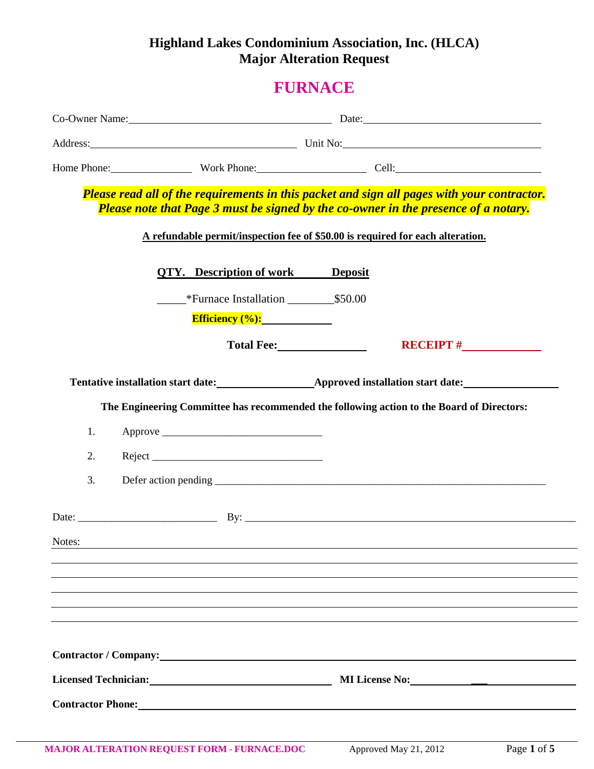# **Highland Lakes Condominium Association, Inc. (HLCA) Major Alteration Request**

# **FURNACE**

|                                                                          | Co-Owner Name: Date: Date:                                                                                                                                                                                                                                           |  |
|--------------------------------------------------------------------------|----------------------------------------------------------------------------------------------------------------------------------------------------------------------------------------------------------------------------------------------------------------------|--|
|                                                                          | Address: Unit No: Unit No:                                                                                                                                                                                                                                           |  |
|                                                                          | Home Phone: Work Phone: Cell: Cell:                                                                                                                                                                                                                                  |  |
|                                                                          | Please read all of the requirements in this packet and sign all pages with your contractor.<br>Please note that Page 3 must be signed by the co-owner in the presence of a notary.<br>A refundable permit/inspection fee of \$50.00 is required for each alteration. |  |
| <b>QTY.</b> Description of work Deposit<br>Efficiency $(\%):$            | Total Fee: Network of The Total Press, Network of The Total Press, Network                                                                                                                                                                                           |  |
| 1.<br>2.<br>3.                                                           | Tentative installation start date:<br><u>Approved installation start date:</u><br>The Engineering Committee has recommended the following action to the Board of Directors:                                                                                          |  |
| Notes:                                                                   |                                                                                                                                                                                                                                                                      |  |
| Contractor / Company: Note that the contractor of Contractor of Company: | Licensed Technician: MILicense No: MILicense No:                                                                                                                                                                                                                     |  |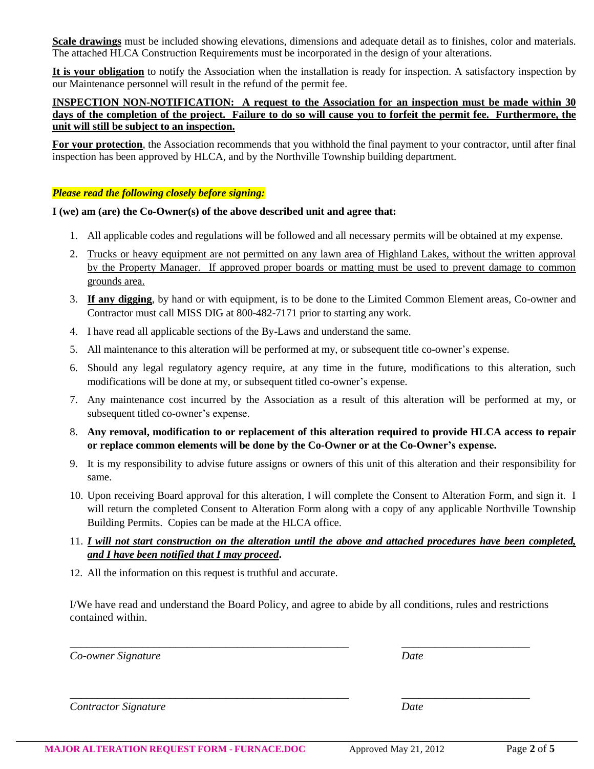**Scale drawings** must be included showing elevations, dimensions and adequate detail as to finishes, color and materials. The attached HLCA Construction Requirements must be incorporated in the design of your alterations.

**It is your obligation** to notify the Association when the installation is ready for inspection. A satisfactory inspection by our Maintenance personnel will result in the refund of the permit fee.

## **INSPECTION NON-NOTIFICATION: A request to the Association for an inspection must be made within 30 days of the completion of the project. Failure to do so will cause you to forfeit the permit fee. Furthermore, the unit will still be subject to an inspection.**

**For your protection**, the Association recommends that you withhold the final payment to your contractor, until after final inspection has been approved by HLCA, and by the Northville Township building department.

### *Please read the following closely before signing:*

## **I (we) am (are) the Co-Owner(s) of the above described unit and agree that:**

- 1. All applicable codes and regulations will be followed and all necessary permits will be obtained at my expense.
- 2. Trucks or heavy equipment are not permitted on any lawn area of Highland Lakes, without the written approval by the Property Manager. If approved proper boards or matting must be used to prevent damage to common grounds area.
- 3. **If any digging**, by hand or with equipment, is to be done to the Limited Common Element areas, Co-owner and Contractor must call MISS DIG at 800-482-7171 prior to starting any work.
- 4. I have read all applicable sections of the By-Laws and understand the same.
- 5. All maintenance to this alteration will be performed at my, or subsequent title co-owner's expense.
- 6. Should any legal regulatory agency require, at any time in the future, modifications to this alteration, such modifications will be done at my, or subsequent titled co-owner's expense.
- 7. Any maintenance cost incurred by the Association as a result of this alteration will be performed at my, or subsequent titled co-owner's expense.
- 8. **Any removal, modification to or replacement of this alteration required to provide HLCA access to repair or replace common elements will be done by the Co-Owner or at the Co-Owner's expense.**
- 9. It is my responsibility to advise future assigns or owners of this unit of this alteration and their responsibility for same.
- 10. Upon receiving Board approval for this alteration, I will complete the Consent to Alteration Form, and sign it. I will return the completed Consent to Alteration Form along with a copy of any applicable Northville Township Building Permits. Copies can be made at the HLCA office.
- 11. *I will not start construction on the alteration until the above and attached procedures have been completed, and I have been notified that I may proceed***.**
- 12. All the information on this request is truthful and accurate.

I/We have read and understand the Board Policy, and agree to abide by all conditions, rules and restrictions contained within.

*\_\_\_\_\_\_\_\_\_\_\_\_\_\_\_\_\_\_\_\_\_\_\_\_\_\_\_\_\_\_\_\_\_\_\_\_\_\_\_\_\_\_\_\_\_\_\_\_\_\_ \_\_\_\_\_\_\_\_\_\_\_\_\_\_\_\_\_\_\_\_\_\_\_*

*\_\_\_\_\_\_\_\_\_\_\_\_\_\_\_\_\_\_\_\_\_\_\_\_\_\_\_\_\_\_\_\_\_\_\_\_\_\_\_\_\_\_\_\_\_\_\_\_\_\_ \_\_\_\_\_\_\_\_\_\_\_\_\_\_\_\_\_\_\_\_\_\_\_*

*Co-owner Signature Date*

*Contractor Signature Date*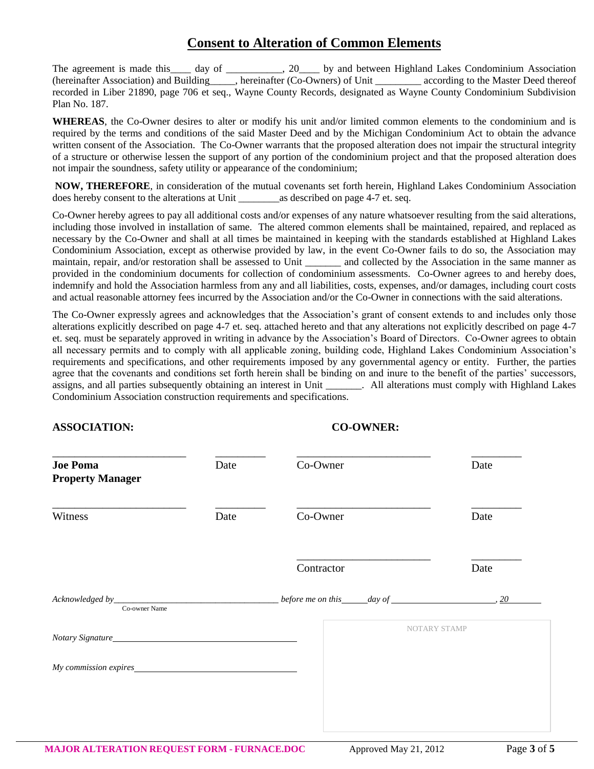## **Consent to Alteration of Common Elements**

The agreement is made this day of  $\qquad \qquad$ , 20 by and between Highland Lakes Condominium Association (hereinafter Association) and Building\_\_\_\_\_, hereinafter (Co-Owners) of Unit \_\_\_\_\_\_\_\_\_ according to the Master Deed thereof recorded in Liber 21890, page 706 et seq., Wayne County Records, designated as Wayne County Condominium Subdivision Plan No. 187.

**WHEREAS**, the Co-Owner desires to alter or modify his unit and/or limited common elements to the condominium and is required by the terms and conditions of the said Master Deed and by the Michigan Condominium Act to obtain the advance written consent of the Association. The Co-Owner warrants that the proposed alteration does not impair the structural integrity of a structure or otherwise lessen the support of any portion of the condominium project and that the proposed alteration does not impair the soundness, safety utility or appearance of the condominium;

**NOW, THEREFORE**, in consideration of the mutual covenants set forth herein, Highland Lakes Condominium Association does hereby consent to the alterations at Unit as described on page 4-7 et. seq.

Co-Owner hereby agrees to pay all additional costs and/or expenses of any nature whatsoever resulting from the said alterations, including those involved in installation of same. The altered common elements shall be maintained, repaired, and replaced as necessary by the Co-Owner and shall at all times be maintained in keeping with the standards established at Highland Lakes Condominium Association, except as otherwise provided by law, in the event Co-Owner fails to do so, the Association may maintain, repair, and/or restoration shall be assessed to Unit \_\_\_\_\_\_\_ and collected by the Association in the same manner as provided in the condominium documents for collection of condominium assessments. Co-Owner agrees to and hereby does, indemnify and hold the Association harmless from any and all liabilities, costs, expenses, and/or damages, including court costs and actual reasonable attorney fees incurred by the Association and/or the Co-Owner in connections with the said alterations.

The Co-Owner expressly agrees and acknowledges that the Association's grant of consent extends to and includes only those alterations explicitly described on page 4-7 et. seq. attached hereto and that any alterations not explicitly described on page 4-7 et. seq. must be separately approved in writing in advance by the Association's Board of Directors. Co-Owner agrees to obtain all necessary permits and to comply with all applicable zoning, building code, Highland Lakes Condominium Association's requirements and specifications, and other requirements imposed by any governmental agency or entity. Further, the parties agree that the covenants and conditions set forth herein shall be binding on and inure to the benefit of the parties' successors, assigns, and all parties subsequently obtaining an interest in Unit \_\_\_\_\_\_\_. All alterations must comply with Highland Lakes Condominium Association construction requirements and specifications.

## **ASSOCIATION: CO-OWNER:**

| <b>Joe Poma</b><br><b>Property Manager</b> | Date | Co-Owner   | Date                             |
|--------------------------------------------|------|------------|----------------------------------|
| Witness                                    | Date | Co-Owner   | Date                             |
|                                            |      | Contractor | Date                             |
| Co-owner Name                              |      |            | before me on this $day of$<br>20 |
| Notary Signature                           |      |            | <b>NOTARY STAMP</b>              |
| My commission expires                      |      |            |                                  |
|                                            |      |            |                                  |
|                                            |      |            |                                  |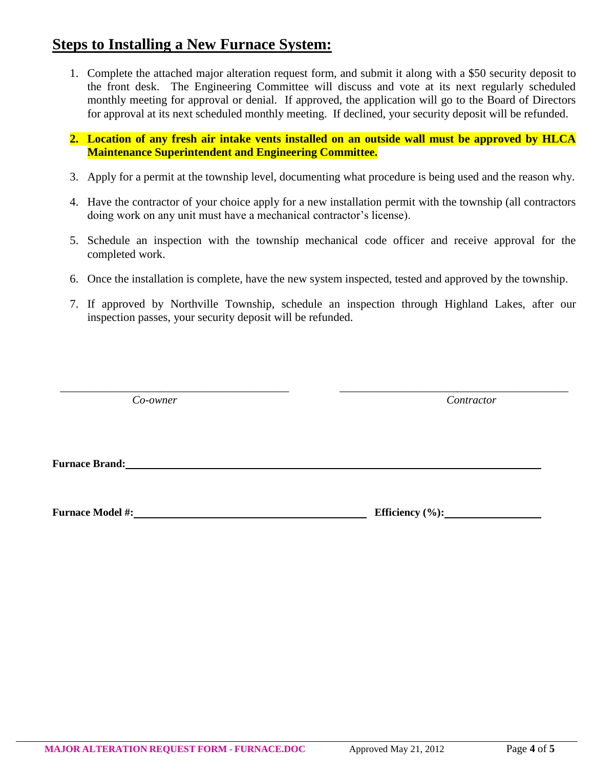# **Steps to Installing a New Furnace System:**

- 1. Complete the attached major alteration request form, and submit it along with a \$50 security deposit to the front desk. The Engineering Committee will discuss and vote at its next regularly scheduled monthly meeting for approval or denial. If approved, the application will go to the Board of Directors for approval at its next scheduled monthly meeting. If declined, your security deposit will be refunded.
- **2. Location of any fresh air intake vents installed on an outside wall must be approved by HLCA Maintenance Superintendent and Engineering Committee.**
- 3. Apply for a permit at the township level, documenting what procedure is being used and the reason why.
- 4. Have the contractor of your choice apply for a new installation permit with the township (all contractors doing work on any unit must have a mechanical contractor's license).
- 5. Schedule an inspection with the township mechanical code officer and receive approval for the completed work.
- 6. Once the installation is complete, have the new system inspected, tested and approved by the township.
- 7. If approved by Northville Township, schedule an inspection through Highland Lakes, after our inspection passes, your security deposit will be refunded.

*\_\_\_\_\_\_\_\_\_\_\_\_\_\_\_\_\_\_\_\_\_\_\_\_\_\_\_\_\_\_\_\_\_\_\_\_\_\_\_\_\_ \_\_\_\_\_\_\_\_\_\_\_\_\_\_\_\_\_\_\_\_\_\_\_\_\_\_\_\_\_\_\_\_\_\_\_\_\_\_\_\_\_*

*Co-owner Contractor*

**Furnace Brand:** <u>**Furnace Brand:** *CON*</u>

**Furnace Model #:** Efficiency (%):